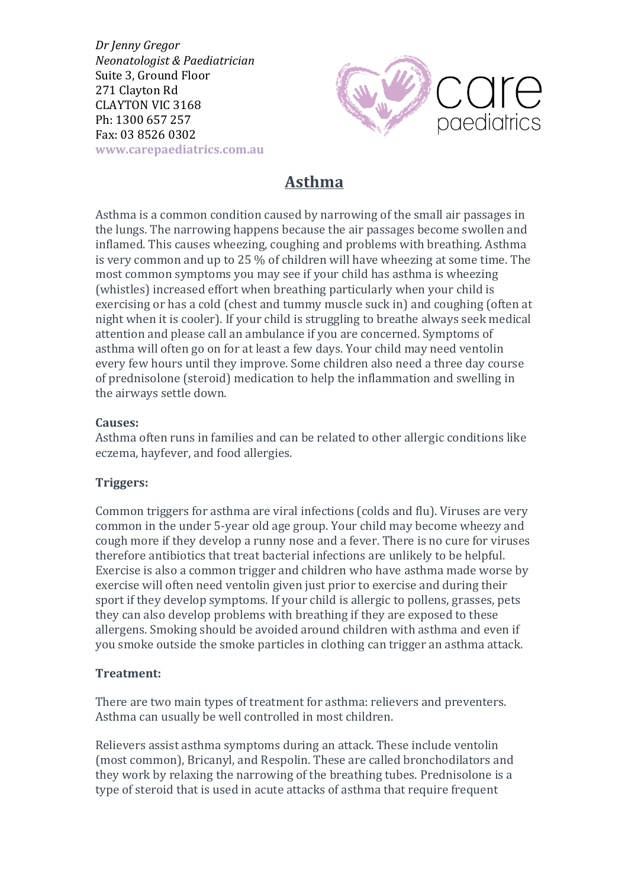*Dr Jenny Gregor Neonatologist & Paediatrician* Suite 3, Ground Floor 271 Clayton Rd CLAYTON VIC 3168 Ph: 1300 657 257 Fax: 03 8526 0302 **www.carepaediatrics.com.au**



# **Asthma**

Asthma is a common condition caused by narrowing of the small air passages in the lungs. The narrowing happens because the air passages become swollen and inflamed. This causes wheezing, coughing and problems with breathing. Asthma is very common and up to  $25\%$  of children will have wheezing at some time. The most common symptoms you may see if your child has asthma is wheezing (whistles) increased effort when breathing particularly when your child is exercising or has a cold (chest and tummy muscle suck in) and coughing (often at night when it is cooler). If your child is struggling to breathe always seek medical attention and please call an ambulance if you are concerned. Symptoms of asthma will often go on for at least a few days. Your child may need ventolin every few hours until they improve. Some children also need a three day course of prednisolone (steroid) medication to help the inflammation and swelling in the airways settle down.

## **Causes:**

Asthma often runs in families and can be related to other allergic conditions like eczema, hayfever, and food allergies.

# **Triggers:**

Common triggers for asthma are viral infections (colds and flu). Viruses are very common in the under 5-year old age group. Your child may become wheezy and cough more if they develop a runny nose and a fever. There is no cure for viruses therefore antibiotics that treat bacterial infections are unlikely to be helpful. Exercise is also a common trigger and children who have asthma made worse by exercise will often need ventolin given just prior to exercise and during their sport if they develop symptoms. If your child is allergic to pollens, grasses, pets they can also develop problems with breathing if they are exposed to these allergens. Smoking should be avoided around children with asthma and even if you smoke outside the smoke particles in clothing can trigger an asthma attack.

# **Treatment:**

There are two main types of treatment for asthma: relievers and preventers. Asthma can usually be well controlled in most children.

Relievers assist asthma symptoms during an attack. These include ventolin (most common), Bricanyl, and Respolin. These are called bronchodilators and they work by relaxing the narrowing of the breathing tubes. Prednisolone is a type of steroid that is used in acute attacks of asthma that require frequent